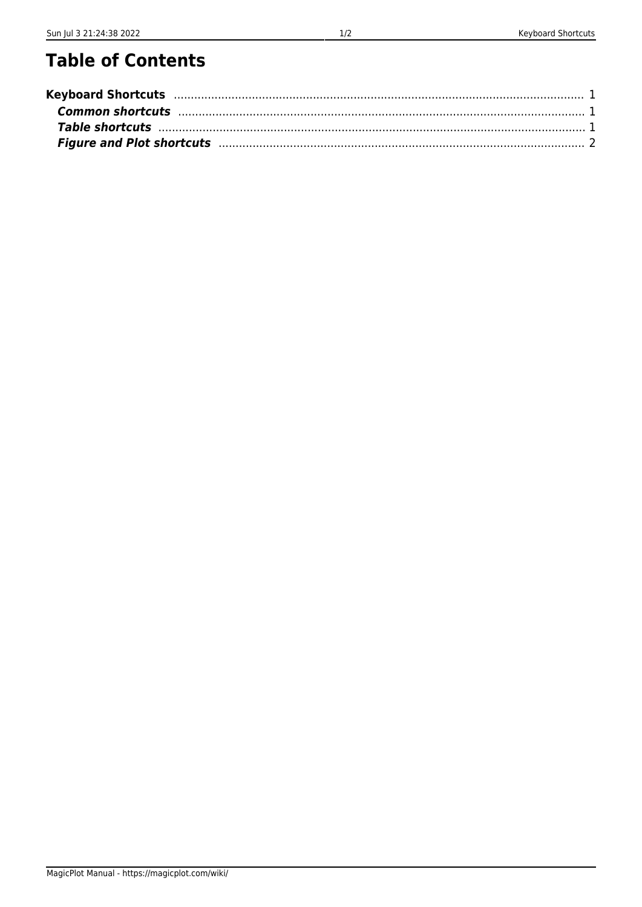# **Table of Contents**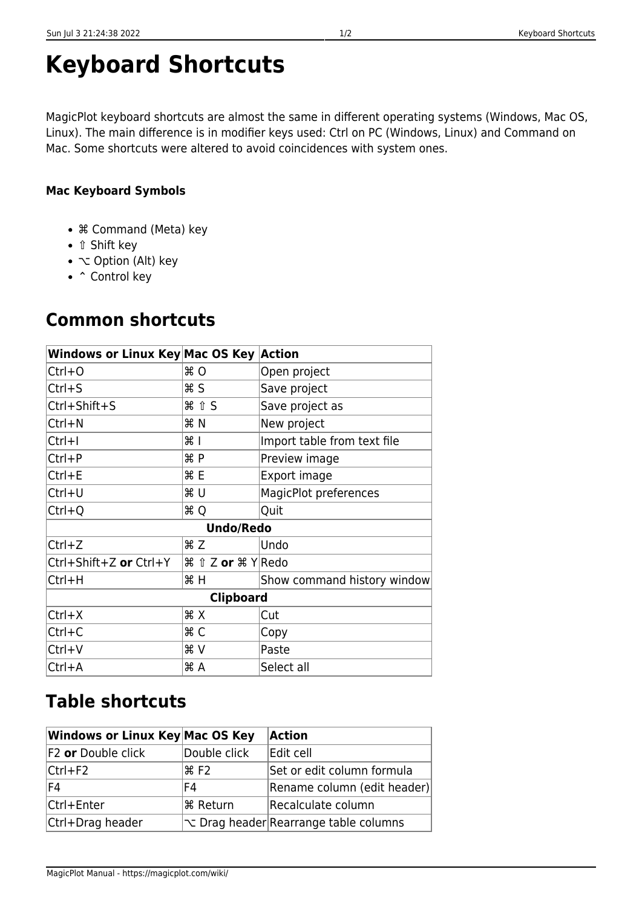# <span id="page-2-0"></span>**Keyboard Shortcuts**

MagicPlot keyboard shortcuts are almost the same in different operating systems (Windows, Mac OS, Linux). The main difference is in modifier keys used: Ctrl on PC (Windows, Linux) and Command on Mac. Some shortcuts were altered to avoid coincidences with system ones.

#### **Mac Keyboard Symbols**

- ⌘ Command (Meta) key
- *î* Shift key
- $\sim$  Option (Alt) key
- ^ Control key

## <span id="page-2-1"></span>**Common shortcuts**

| Windows or Linux Key Mac OS Key  Action |                                                       |                             |  |  |  |
|-----------------------------------------|-------------------------------------------------------|-----------------------------|--|--|--|
| Ctrl+0                                  | $*$ 0                                                 | Open project                |  |  |  |
| Ctrl+S                                  | <b></b> ន                                             | Save project                |  |  |  |
| Ctrl+Shift+S                            | <b>H</b> 1 S                                          | Save project as             |  |  |  |
| Ctrl+N                                  | <b>H</b> N                                            | New project                 |  |  |  |
| Ctrl+I                                  | $\frac{1}{2}$                                         | Import table from text file |  |  |  |
| Ctrl+P                                  | ЖP                                                    | Preview image               |  |  |  |
| Ctrl+E                                  | <b>HE</b>                                             | Export image                |  |  |  |
| Ctrl+U                                  | <b>ж U</b>                                            | MagicPlot preferences       |  |  |  |
| Ctrl+Q                                  | <b>HQ</b>                                             | Quit                        |  |  |  |
| <b>Undo/Redo</b>                        |                                                       |                             |  |  |  |
| $Ctrl+Z$                                | <b>HZ</b>                                             | Undo                        |  |  |  |
| Ctrl+Shift+Z or Ctrl+Y                  | $\frac{1}{2}$ f $\frac{1}{2}$ or $\frac{1}{2}$ Y Redo |                             |  |  |  |
| Ctrl+H                                  | ЖH                                                    | Show command history window |  |  |  |
| <b>Clipboard</b>                        |                                                       |                             |  |  |  |
| $Ctrl+X$                                | <b>HX</b>                                             | Cut                         |  |  |  |
| Ctrl+C                                  | <b>HC</b>                                             | Copy                        |  |  |  |
| Ctrl+V                                  | ЖV                                                    | Paste                       |  |  |  |
| Ctrl+A                                  | ЖA                                                    | Select all                  |  |  |  |

#### <span id="page-2-2"></span>**Table shortcuts**

| Windows or Linux Key Mac OS Key |                              | Action                                |
|---------------------------------|------------------------------|---------------------------------------|
| F <sub>2</sub> or Double click  | Double click                 | Edit cell                             |
| Ctrl+F2                         | $\frac{4}{5}$ F <sub>2</sub> | Set or edit column formula            |
| F4                              | F4                           | Rename column (edit header)           |
| Ctrl+Enter                      | <b>% Return</b>              | Recalculate column                    |
| Ctrl+Drag header                |                              | v Drag header Rearrange table columns |